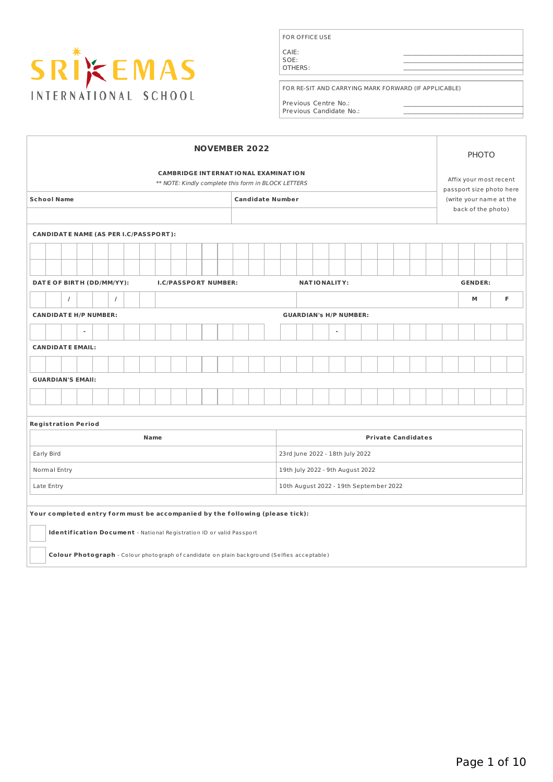

FOR OFFICE USE

CAIE: SOE: OTHERS:

FOR RE-SIT AND CARRYING MARK FORWARD (IF APPLICABLE)

 $\mathcal{L}_\mathcal{L} = \{ \mathcal{L}_\mathcal{L} = \{ \mathcal{L}_\mathcal{L} \}$  , where  $\mathcal{L}_\mathcal{L} = \{ \mathcal{L}_\mathcal{L} \}$  , where  $\mathcal{L}_\mathcal{L} = \{ \mathcal{L}_\mathcal{L} \}$  $\mathcal{L}_\mathcal{L} = \{ \mathcal{L}_\mathcal{L} = \{ \mathcal{L}_\mathcal{L} \}$  , where  $\mathcal{L}_\mathcal{L} = \{ \mathcal{L}_\mathcal{L} \}$  , where  $\mathcal{L}_\mathcal{L} = \{ \mathcal{L}_\mathcal{L} \}$  $\blacksquare$ 

 $\mathcal{L}_\mathcal{L} = \{ \mathcal{L}_\mathcal{L} = \{ \mathcal{L}_\mathcal{L} \}$  , where  $\mathcal{L}_\mathcal{L} = \{ \mathcal{L}_\mathcal{L} \}$  , where  $\mathcal{L}_\mathcal{L} = \{ \mathcal{L}_\mathcal{L} \}$  $\mathcal{L}_\mathcal{L} = \{ \mathcal{L}_\mathcal{L} = \{ \mathcal{L}_\mathcal{L} \}$  , where  $\mathcal{L}_\mathcal{L} = \{ \mathcal{L}_\mathcal{L} \}$  , where  $\mathcal{L}_\mathcal{L} = \{ \mathcal{L}_\mathcal{L} \}$ 

Previous Centre No.: Previous Candidate No.:

|                                                               | <b>NOVEMBER 2022</b>                                                                        |          |  |  |          |  |      | <b>PHOTO</b>           |                                                     |  |  |                         |  |                     |  |                           |  |  |  |                          |   |  |
|---------------------------------------------------------------|---------------------------------------------------------------------------------------------|----------|--|--|----------|--|------|------------------------|-----------------------------------------------------|--|--|-------------------------|--|---------------------|--|---------------------------|--|--|--|--------------------------|---|--|
|                                                               | <b>CAMBRIDGE INTERNATIONAL EXAMINATION</b>                                                  |          |  |  |          |  |      | Affix your most recent |                                                     |  |  |                         |  |                     |  |                           |  |  |  |                          |   |  |
|                                                               |                                                                                             |          |  |  |          |  |      |                        | ** NOTE: Kindly complete this form in BLOCK LETTERS |  |  |                         |  |                     |  |                           |  |  |  | passport size photo here |   |  |
|                                                               | <b>School Name</b>                                                                          |          |  |  |          |  |      |                        |                                                     |  |  | <b>Candidate Number</b> |  |                     |  |                           |  |  |  | (write your name at the  |   |  |
|                                                               |                                                                                             |          |  |  |          |  |      |                        | back of the photo)                                  |  |  |                         |  |                     |  |                           |  |  |  |                          |   |  |
|                                                               | <b>CANDIDATE NAME (AS PER I.C/PASSPORT):</b>                                                |          |  |  |          |  |      |                        |                                                     |  |  |                         |  |                     |  |                           |  |  |  |                          |   |  |
|                                                               |                                                                                             |          |  |  |          |  |      |                        |                                                     |  |  |                         |  |                     |  |                           |  |  |  |                          |   |  |
|                                                               |                                                                                             |          |  |  |          |  |      |                        |                                                     |  |  |                         |  |                     |  |                           |  |  |  |                          |   |  |
|                                                               | DATE OF BIRTH (DD/MM/YY):                                                                   |          |  |  |          |  |      |                        | <b>I.C/PASSPORT NUMBER:</b>                         |  |  |                         |  | <b>NATIONALITY:</b> |  |                           |  |  |  | <b>GENDER:</b>           |   |  |
|                                                               |                                                                                             |          |  |  |          |  |      |                        |                                                     |  |  |                         |  |                     |  |                           |  |  |  |                          | F |  |
|                                                               |                                                                                             | $\prime$ |  |  | $\prime$ |  |      |                        |                                                     |  |  |                         |  |                     |  |                           |  |  |  | М                        |   |  |
| <b>CANDIDATE H/P NUMBER:</b><br><b>GUARDIAN's H/P NUMBER:</b> |                                                                                             |          |  |  |          |  |      |                        |                                                     |  |  |                         |  |                     |  |                           |  |  |  |                          |   |  |
|                                                               |                                                                                             |          |  |  |          |  |      |                        |                                                     |  |  |                         |  | $\blacksquare$      |  |                           |  |  |  |                          |   |  |
|                                                               | <b>CANDIDATE EMAIL:</b>                                                                     |          |  |  |          |  |      |                        |                                                     |  |  |                         |  |                     |  |                           |  |  |  |                          |   |  |
|                                                               |                                                                                             |          |  |  |          |  |      |                        |                                                     |  |  |                         |  |                     |  |                           |  |  |  |                          |   |  |
|                                                               | <b>GUARDIAN'S EMAIL:</b>                                                                    |          |  |  |          |  |      |                        |                                                     |  |  |                         |  |                     |  |                           |  |  |  |                          |   |  |
|                                                               |                                                                                             |          |  |  |          |  |      |                        |                                                     |  |  |                         |  |                     |  |                           |  |  |  |                          |   |  |
|                                                               |                                                                                             |          |  |  |          |  |      |                        |                                                     |  |  |                         |  |                     |  |                           |  |  |  |                          |   |  |
|                                                               | <b>Registration Period</b>                                                                  |          |  |  |          |  |      |                        |                                                     |  |  |                         |  |                     |  |                           |  |  |  |                          |   |  |
|                                                               |                                                                                             |          |  |  |          |  | Name |                        |                                                     |  |  |                         |  |                     |  | <b>Private Candidates</b> |  |  |  |                          |   |  |
|                                                               | Early Bird<br>23rd June 2022 - 18th July 2022                                               |          |  |  |          |  |      |                        |                                                     |  |  |                         |  |                     |  |                           |  |  |  |                          |   |  |
|                                                               | Normal Entry<br>19th July 2022 - 9th August 2022                                            |          |  |  |          |  |      |                        |                                                     |  |  |                         |  |                     |  |                           |  |  |  |                          |   |  |
|                                                               | 10th August 2022 - 19th September 2022<br>Late Entry                                        |          |  |  |          |  |      |                        |                                                     |  |  |                         |  |                     |  |                           |  |  |  |                          |   |  |
|                                                               |                                                                                             |          |  |  |          |  |      |                        |                                                     |  |  |                         |  |                     |  |                           |  |  |  |                          |   |  |
|                                                               | Your completed entry form must be accompanied by the following (please tick):               |          |  |  |          |  |      |                        |                                                     |  |  |                         |  |                     |  |                           |  |  |  |                          |   |  |
|                                                               | Identification Document - National Registration ID or valid Passport                        |          |  |  |          |  |      |                        |                                                     |  |  |                         |  |                     |  |                           |  |  |  |                          |   |  |
|                                                               |                                                                                             |          |  |  |          |  |      |                        |                                                     |  |  |                         |  |                     |  |                           |  |  |  |                          |   |  |
|                                                               | Colour Photograph - Colour photograph of candidate on plain background (Selfies acceptable) |          |  |  |          |  |      |                        |                                                     |  |  |                         |  |                     |  |                           |  |  |  |                          |   |  |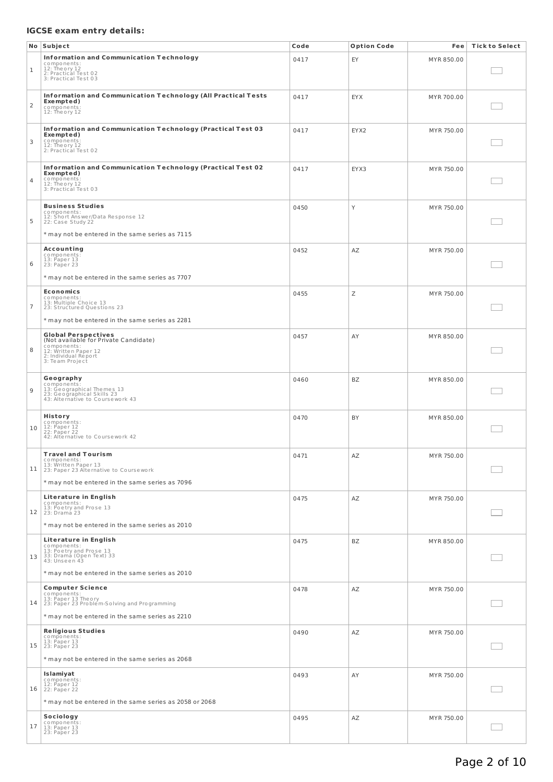# **IGCSE exam entry details:**

|                | No Subject                                                                                                                                                          | Code | <b>Option Code</b> | Fee        | <b>Tick to Select</b> |
|----------------|---------------------------------------------------------------------------------------------------------------------------------------------------------------------|------|--------------------|------------|-----------------------|
| 1              | <b>Information and Communication Technology</b><br>components:<br>12: Theory 12<br>2: Practical Test 02<br>3: Practical Test 03                                     | 0417 | EY                 | MYR 850.00 |                       |
| $\overline{2}$ | Information and Communication Technology (All Practical Tests<br>Exempted)<br>components:<br>12: Theory 12                                                          | 0417 | <b>EYX</b>         | MYR 700.00 |                       |
| 3              | Information and Communication Technology (Practical Test 03<br>Exempted)<br>components:<br>12: Theory 12<br>2: Practical Test 02                                    | 0417 | EYX2               | MYR 750.00 |                       |
| 4              | Information and Communication Technology (Practical Test 02<br>Exempted)<br>components:<br>12: Theory 12<br>3: Practical Test 03                                    | 0417 | EYX3               | MYR 750.00 |                       |
| 5              | <b>Business Studies</b><br>components:<br>12: Short Answer/Data Response 12<br>22: Case Study 22<br>* may not be entered in the same series as 7115                 | 0450 | Y                  | MYR 750.00 |                       |
| 6              | Accounting<br>components:<br>13: Paper 13<br>23: Paper 23<br>* may not be entered in the same series as 7707                                                        | 0452 | AZ                 | MYR 750.00 |                       |
| $\overline{7}$ | <b>Economics</b><br>components:<br>13: Multiple Choice 13<br>23: Structured Questions 23<br>* may not be entered in the same series as 2281                         | 0455 | Ζ                  | MYR 750.00 |                       |
| 8              | <b>Global Perspectives</b><br>(Not available for Private Candidate)<br>components:<br>12: Written Paper 12<br>2: Individual Report<br>3: Team Project               | 0457 | AY                 | MYR 850.00 |                       |
| 9              | Geography<br>components:<br>13: Geographical Themes 13<br>23: Geographical Skills 23<br>43: Alternative to Coursework 43                                            | 0460 | BZ                 | MYR 850.00 |                       |
| 10             | History<br>components:<br>12: Paper 12<br>22: Paper 22<br>42: Alternative to Coursework 42                                                                          | 0470 | BY                 | MYR 850.00 |                       |
|                | <b>Travel and Tourism</b><br>components:<br>11 13: Written Paper 13<br>11 23: Paper 23 Alternative to Coursework<br>* may not be entered in the same series as 7096 | 0471 | ΑZ                 | MYR 750.00 |                       |
| 12             | Literature in English<br>components:<br>13: Poetry and Prose 13<br>23: Dramá 23<br>* may not be entered in the same series as 2010                                  | 0475 | AZ                 | MYR 750.00 |                       |
| 13             | Literature in English<br>components:<br>13: Poetry and Prose 13<br>33: Drama (Open Text) 33<br>43: Unseen 43<br>* may not be entered in the same series as 2010     | 0475 | ΒZ                 | MYR 850.00 |                       |
| 14             | <b>Computer Science</b><br>components:<br>13: Paper 13 Theory<br>23: Paper 23 Problem-Solving and Programming<br>* may not be entered in the same series as 2210    | 0478 | AZ                 | MYR 750.00 |                       |
| 15             | <b>Religious Studies</b><br>components:<br>13: Paper 13<br>23: Paper 23<br>* may not be entered in the same series as 2068                                          | 0490 | ΑZ                 | MYR 750.00 |                       |
| 16             | Islamiyat<br>components:<br>12: Paper 12<br>22: Paper 22<br>* may not be entered in the same series as 2058 or 2068                                                 | 0493 | AY                 | MYR 750.00 |                       |
| 17             | Sociology<br>components:<br>13: Paper 13<br>23: Paper 23                                                                                                            | 0495 | AZ                 | MYR 750.00 |                       |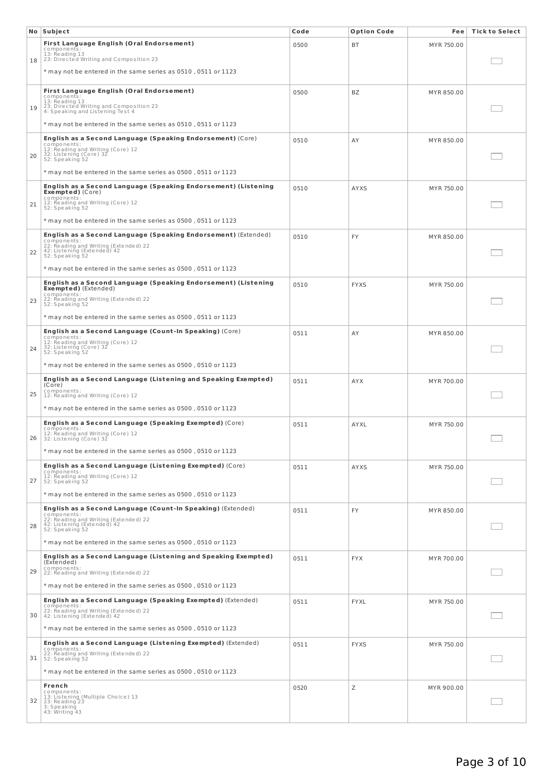|    | No Subject                                                                                                                                                               | Code | <b>Option Code</b> | Fee        | <b>Tick to Select</b> |
|----|--------------------------------------------------------------------------------------------------------------------------------------------------------------------------|------|--------------------|------------|-----------------------|
|    | First Language English (Oral Endorsement)<br>components:<br>13: Reading 13<br>23: Directed Writing and Composition 23                                                    | 0500 | ВT                 | MYR 750.00 |                       |
| 18 | $*$ may not be entered in the same series as 0510, 0511 or 1123                                                                                                          |      |                    |            |                       |
|    | First Language English (Oral Endorsement)<br>components:<br>13: Reading 13                                                                                               | 0500 | BZ                 | MYR 850.00 |                       |
| 19 | 23: Directed Writing and Composition 23<br>4: Speaking and Listening Test 4                                                                                              |      |                    |            |                       |
|    | $*$ may not be entered in the same series as 0510, 0511 or 1123                                                                                                          |      |                    |            |                       |
| 20 | English as a Second Language (Speaking Endorsement) (Core)<br>components:<br>12: Reading and Writing (Core) 12<br>32: Listening (Core) 32<br>52: Speaking 52             | 0510 | AY                 | MYR 850.00 |                       |
|    | * may not be entered in the same series as 0500, 0511 or 1123                                                                                                            |      |                    |            |                       |
| 21 | English as a Second Language (Speaking Endorsement) (Listening<br><b>Exempted</b> ) (Core)<br>components:<br>12: Reading and Writing (Core) 12<br>52: Speaking 52        | 0510 | AYXS               | MYR 750.00 |                       |
|    | $*$ may not be entered in the same series as 0500, 0511 or 1123                                                                                                          |      |                    |            |                       |
| 22 | English as a Second Language (Speaking Endorsement) (Extended)<br>components:<br>22: Reading and Writing (Extended) 22<br>42: Listening (Extended) 42<br>52: Speaking 52 | 0510 | <b>FY</b>          | MYR 850.00 |                       |
|    | $*$ may not be entered in the same series as 0500, 0511 or 1123                                                                                                          |      |                    |            |                       |
|    | English as a Second Language (Speaking Endorsement) (Listening<br><b>Exempted</b> ) (Extended)                                                                           | 0510 | <b>FYXS</b>        | MYR 750.00 |                       |
| 23 | components:<br>22: Reading and Writing (Extended) 22<br>52: Speaking 52                                                                                                  |      |                    |            |                       |
|    | $*$ may not be entered in the same series as 0500, 0511 or 1123                                                                                                          |      |                    |            |                       |
| 24 | English as a Second Language (Count-In Speaking) (Core)<br>components:<br>12: Reading and Writing (Core) 12<br>32: Listening (Core) 32<br>52: Speaking 52                | 0511 | AY                 | MYR 850.00 |                       |
|    | $*$ may not be entered in the same series as 0500, 0510 or 1123                                                                                                          |      |                    |            |                       |
| 25 | English as a Second Language (Listening and Speaking Exempted)<br>(Core)<br>components:                                                                                  | 0511 | <b>AYX</b>         | MYR 700.00 |                       |
|    | 12: Reading and Writing (Core) 12<br>* may not be entered in the same series as 0500, 0510 or 1123                                                                       |      |                    |            |                       |
|    | English as a Second Language (Speaking Exempted) (Core)                                                                                                                  | 0511 | <b>AYXL</b>        | MYR 750.00 |                       |
| 26 | components:<br>12: Reading and Writing (Core) 12<br>32: Listening (Core) 32                                                                                              |      |                    |            |                       |
|    | * may not be entered in the same series as 0500, 0510 or 1123                                                                                                            |      |                    |            |                       |
| 27 | <b>English as a Second Language (Listening Exempted)</b> (Core)<br>components:<br>12: Reading and Writing (Core) 12<br>52: Speaking 52                                   | 0511 | <b>AYXS</b>        | MYR 750.00 |                       |
|    | * may not be entered in the same series as 0500, 0510 or 1123                                                                                                            |      |                    |            |                       |
| 28 | English as a Second Language (Count-In Speaking) (Extended)<br>components:<br>22: Reading and Writing (Extended) 22<br>42: Listening (Extended) 42<br>52: Speaking 52    | 0511 | <b>FY</b>          | MYR 850.00 |                       |
|    | * may not be entered in the same series as 0500, 0510 or 1123                                                                                                            |      |                    |            |                       |
| 29 | English as a Second Language (Listening and Speaking Exempted)<br>(Extended)<br>components:<br>22: Reading and Writing (Extended) 22                                     | 0511 | <b>FYX</b>         | MYR 700.00 |                       |
|    | $*$ may not be entered in the same series as 0500, 0510 or 1123                                                                                                          |      |                    |            |                       |
| 30 | English as a Second Language (Speaking Exempted) (Extended)<br>components:<br>22: Reading and Writing (Extended) 22<br>42: Listening (Extended) 42                       | 0511 | <b>FYXL</b>        | MYR 750.00 |                       |
|    | $*$ may not be entered in the same series as 0500, 0510 or 1123                                                                                                          |      |                    |            |                       |
| 31 | <b>English as a Second Language (Listening Exempted) (Extended)</b><br>components:<br>22: Reading and Writing (Extended) 22<br>52: Speaking 52                           | 0511 | <b>FYXS</b>        | MYR 750.00 |                       |
|    | $*$ may not be entered in the same series as 0500, 0510 or 1123                                                                                                          |      |                    |            |                       |
| 32 | French<br>components:<br>13: Listening (Multiple Choice) 13<br>23: Reading 23<br>3: Speaking<br>43: Writing 43                                                           | 0520 | Ζ                  | MYR 900.00 |                       |
|    |                                                                                                                                                                          |      |                    |            |                       |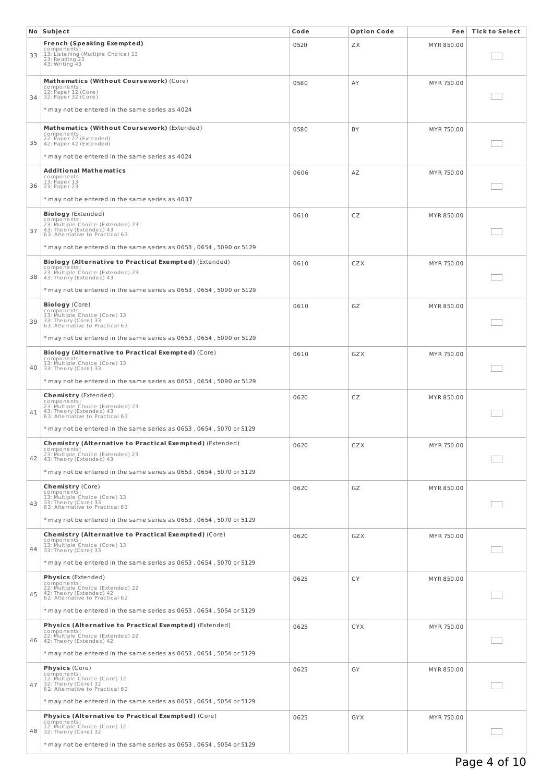|    | No Subject                                                                         | Code | <b>Option Code</b> | Fee        | <b>Tick to Select</b> |
|----|------------------------------------------------------------------------------------|------|--------------------|------------|-----------------------|
|    | <b>French (Speaking Exempted)</b>                                                  | 0520 | ZX.                | MYR 850.00 |                       |
| 33 | components:<br>13: Listening (Multiple Choice) 13<br>23: Reading 23                |      |                    |            |                       |
|    | 43: Writing 43                                                                     |      |                    |            |                       |
|    | Mathematics (Without Coursework) (Core)                                            |      |                    |            |                       |
|    | components:<br>12: Paper 12 (Core)                                                 | 0580 | AY                 | MYR 750.00 |                       |
| 34 | 32: Paper 32 (Core)                                                                |      |                    |            |                       |
|    | * may not be entered in the same series as 4024                                    |      |                    |            |                       |
|    |                                                                                    |      |                    |            |                       |
|    | Mathematics (Without Coursework) (Extended)<br>components:                         | 0580 | BY                 | MYR 750.00 |                       |
| 35 | 22: Paper 22 (Extended)<br>42: Paper 42 (Extended)                                 |      |                    |            |                       |
|    | * may not be entered in the same series as 4024                                    |      |                    |            |                       |
|    | <b>Additional Mathematics</b>                                                      | 0606 | AZ                 | MYR 750.00 |                       |
|    | components:<br>13: Paper 13                                                        |      |                    |            |                       |
| 36 | 23: Paper 23                                                                       |      |                    |            |                       |
|    | * may not be entered in the same series as 4037                                    |      |                    |            |                       |
|    | <b>Biology</b> (Extended)<br>components:                                           | 0610 | CZ                 | MYR 850.00 |                       |
| 37 | 23: Multiple Choice (Extended) 23<br>43: Theory (Extended) 43                      |      |                    |            |                       |
|    | 63: Alternative to Practical 63                                                    |      |                    |            |                       |
|    | $*$ may not be entered in the same series as 0653, 0654, 5090 or 5129              |      |                    |            |                       |
|    | Biology (Alternative to Practical Exempted) (Extended)                             | 0610 | CZX                | MYR 750.00 |                       |
| 38 | components:<br>23: Multiple Choice (Extended) 23<br>43: Theory (Extended) 43       |      |                    |            |                       |
|    |                                                                                    |      |                    |            |                       |
|    | $*$ may not be entered in the same series as 0653 , 0654 , 5090 or 5129 $^{\circ}$ |      |                    |            |                       |
|    | <b>Biology</b> (Core)<br>components:                                               | 0610 | GZ                 | MYR 850.00 |                       |
| 39 | 13: Multiple Choice (Core) 13<br>33: Theory (Core) 33                              |      |                    |            |                       |
|    | 63: Alternative to Practical 63                                                    |      |                    |            |                       |
|    | * may not be entered in the same series as 0653, 0654, 5090 or 5129                |      |                    |            |                       |
|    | <b>Biology (Alternative to Practical Exempted) (Core)</b>                          | 0610 | GZX                | MYR 750.00 |                       |
| 40 | components:<br>13: Multiple Choice (Core) 13<br>33: Theory (Core) 33               |      |                    |            |                       |
|    | $*$ may not be entered in the same series as 0653 , 0654 , 5090 or 5129            |      |                    |            |                       |
|    |                                                                                    |      |                    |            |                       |
|    | <b>Chemistry</b> (Extended)<br>$compo$ ne nts:                                     | 0620 | CZ                 | MYR 850.00 |                       |
| 41 | 23: Multiple Choice (Extended) 23<br>43: Theory (Extended) 43                      |      |                    |            |                       |
|    | 63: Alternative to Practical 63                                                    |      |                    |            |                       |
|    | $*$ may not be entered in the same series as 0653 , 0654 , 5070 or 5129            |      |                    |            |                       |
|    | <b>Chemistry (Alternative to Practical Exempted)</b> (Extended)<br>components:     | 0620 | CZX                | MYR 750.00 |                       |
| 42 | 23: Multiple Choice (Extended) 23<br>43: Theory (Extended) 43                      |      |                    |            |                       |
|    | * may not be entered in the same series as 0653, 0654, 5070 or 5129                |      |                    |            |                       |
|    |                                                                                    |      |                    |            |                       |
|    | Chemistry (Core)<br>components:<br>13: Multiple Choice (Core) 13                   | 0620 | GZ                 | MYR 850.00 |                       |
| 43 | 33: Theory (Core) 33<br>63: Alternative to Practical 63                            |      |                    |            |                       |
|    | $*$ may not be entered in the same series as 0653, 0654, 5070 or 5129              |      |                    |            |                       |
|    |                                                                                    |      |                    |            |                       |
|    | Chemistry (Alternative to Practical Exempted) (Core)<br>components:                | 0620 | GZX                | MYR 750.00 |                       |
| 44 | 13: Multiple Choice (Core) 13<br>33: Theory (Core) 33                              |      |                    |            |                       |
|    | $*$ may not be entered in the same series as 0653, 0654, 5070 or 5129              |      |                    |            |                       |
|    | <b>Physics</b> (Extended)                                                          | 0625 | CY                 | MYR 850.00 |                       |
|    | components:<br>22: Multiple Choice (Extended) 22                                   |      |                    |            |                       |
| 45 | 42: Theory (Extended) 42<br>62: Alternative to Practical 62                        |      |                    |            |                       |
|    | * may not be entered in the same series as 0653, 0654, 5054 or 5129                |      |                    |            |                       |
|    | Physics (Alternative to Practical Exempted) (Extended)                             |      |                    |            |                       |
|    | components:<br>22: Multiple Choice (Extended) 22                                   | 0625 | <b>CYX</b>         | MYR 750.00 |                       |
| 46 | 42: Theory (Extended) 42                                                           |      |                    |            |                       |
|    | $*$ may not be entered in the same series as 0653 , 0654 , 5054 or 5129            |      |                    |            |                       |
|    | <b>Physics</b> (Core)                                                              | 0625 | GY                 | MYR 850.00 |                       |
|    | components:<br>12: Multiple Choice (Core) 12                                       |      |                    |            |                       |
| 47 | 32: Theory (Core) 32<br>62: Alternative to Practical 62                            |      |                    |            |                       |
|    | $*$ may not be entered in the same series as 0653 , 0654 , 5054 or 5129            |      |                    |            |                       |
|    | <b>Physics (Alternative to Practical Exempted) (Core)</b>                          | 0625 | GYX                | MYR 750.00 |                       |
| 48 | components:<br>12: Multiple Choice (Core) 12                                       |      |                    |            |                       |
|    | 32: Theory (Core) 32                                                               |      |                    |            |                       |
|    | * may not be entered in the same series as 0653, 0654, 5054 or 5129                |      |                    |            |                       |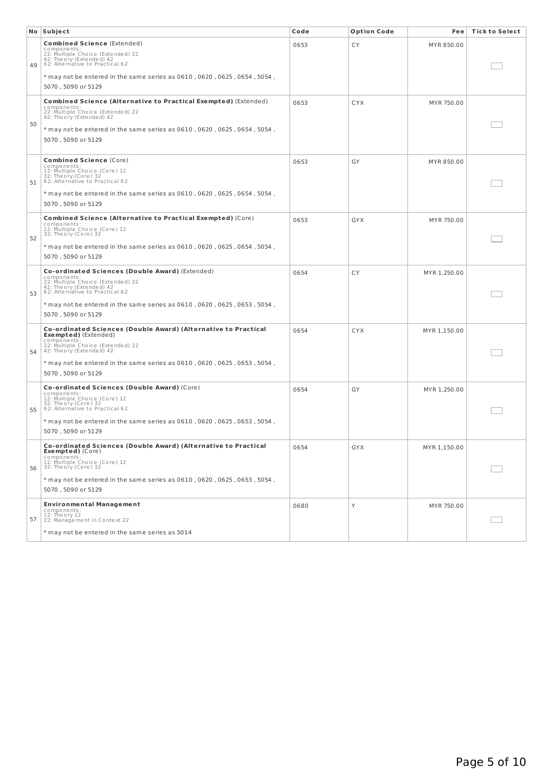|    | No Subject                                                                                                                                                                        | Code | <b>Option Code</b> | Fee          | <b>Tick to Select</b> |
|----|-----------------------------------------------------------------------------------------------------------------------------------------------------------------------------------|------|--------------------|--------------|-----------------------|
| 49 | <b>Combined Science (Extended)</b><br>components:<br>22: Multiple Choice (Extended) 22<br>42: Theory (Extended) 42<br>62: Alternative to Practical 62                             | 0653 | СY                 | MYR 850.00   |                       |
|    | * may not be entered in the same series as 0610, 0620, 0625, 0654, 5054,<br>5070, 5090 or 5129                                                                                    |      |                    |              |                       |
| 50 | Combined Science (Alternative to Practical Exempted) (Extended)<br>components:<br>22: Multiple Choice (Extended) 22<br>42: Theory (Extended) 42                                   | 0653 | <b>CYX</b>         | MYR 750.00   |                       |
|    | $*$ may not be entered in the same series as 0610 , 0620 , 0625 , 0654 , 5054 ,<br>5070, 5090 or 5129                                                                             |      |                    |              |                       |
| 51 | <b>Combined Science (Core)</b><br>components:<br>12: Multiple Choice (Core) 12<br>32: Theory (Core) 32<br>62: Alternative to Practical 62                                         | 0653 | GY                 | MYR 850.00   |                       |
|    | * may not be entered in the same series as 0610, 0620, 0625, 0654, 5054,<br>5070, 5090 or 5129                                                                                    |      |                    |              |                       |
|    | Combined Science (Alternative to Practical Exempted) (Core)<br>components:<br>12: Multiple Choice (Core) 12<br>32: Theory (Core) 32                                               | 0653 | GYX                | MYR 750.00   |                       |
| 52 | $*$ may not be entered in the same series as 0610, 0620, 0625, 0654, 5054,<br>5070, 5090 or 5129                                                                                  |      |                    |              |                       |
| 53 | <b>Co-ordinated Sciences (Double Award)</b> (Extended)<br>components:<br>22: Multiple Choice (Extended) 22<br>42: Theory (Extended) 42<br>62: Alternative to Practical 62         | 0654 | CY                 | MYR 1,250.00 |                       |
|    | * may not be entered in the same series as 0610, 0620, 0625, 0653, 5054,<br>5070, 5090 or 5129                                                                                    |      |                    |              |                       |
| 54 | Co-ordinated Sciences (Double Award) (Alternative to Practical<br><b>Exempted</b> ) (Extended)<br>c o mpo ne nts<br>22: Multiple Choice (Extended) 22<br>42: Theory (Extended) 42 | 0654 | <b>CYX</b>         | MYR 1,150.00 |                       |
|    | * may not be entered in the same series as 0610, 0620, 0625, 0653, 5054,<br>5070, 5090 or 5129                                                                                    |      |                    |              |                       |
| 55 | <b>Co-ordinated Sciences (Double Award)</b> (Core)<br>components<br>12: Multiple Choice (Core) 12<br>32: Theory (Core) 32<br>62: Alternative to Practical 62                      | 0654 | GY                 | MYR 1,250.00 |                       |
|    | * may not be entered in the same series as 0610, 0620, 0625, 0653, 5054,<br>5070, 5090 or 5129                                                                                    |      |                    |              |                       |
| 56 | Co-ordinated Sciences (Double Award) (Alternative to Practical<br><b>Exempted)</b> (Core)<br>components:<br>12: Multiple Choice (Core) 12<br>32: Theory (Core) 32                 | 0654 | GYX                | MYR 1,150.00 |                       |
|    | $*$ may not be entered in the same series as 0610, 0620, 0625, 0653, 5054,<br>5070, 5090 or 5129                                                                                  |      |                    |              |                       |
| 57 | <b>Environmental Management</b><br>components:<br>12: Theory 12<br>22: Management in Context 22                                                                                   | 0680 | Y                  | MYR 750.00   |                       |
|    | * may not be entered in the same series as 5014                                                                                                                                   |      |                    |              |                       |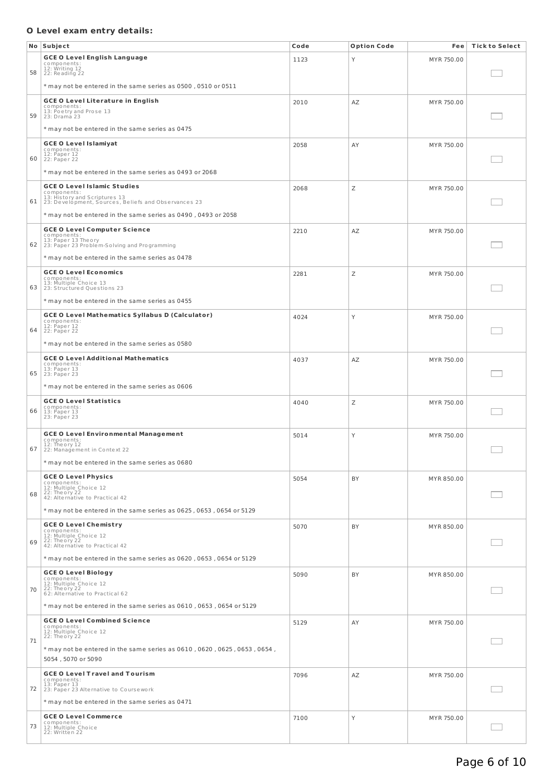# **O Level exam entry details:**

|    | No Subject                                                                                                                                                                                                  | Code | <b>Option Code</b> | Fee        | <b>Tick to Select</b> |
|----|-------------------------------------------------------------------------------------------------------------------------------------------------------------------------------------------------------------|------|--------------------|------------|-----------------------|
| 58 | <b>GCE O Level English Language</b><br>components:<br>12: Writing 12<br>22: Reading 22                                                                                                                      | 1123 | Y                  | MYR 750.00 |                       |
|    | * may not be entered in the same series as 0500, 0510 or 0511                                                                                                                                               |      |                    |            |                       |
| 59 | <b>GCE O Level Literature in English</b><br>components:<br>13: Poetry and Prose 13<br>23: Drama 23<br>* may not be entered in the same series as 0475                                                       | 2010 | AZ                 | MYR 750.00 |                       |
| 60 | <b>GCE O Level Islamiyat</b><br>components:<br>12: Paper 12<br>22: Paper 22                                                                                                                                 | 2058 | AY                 | MYR 750.00 |                       |
|    | * may not be entered in the same series as 0493 or 2068                                                                                                                                                     |      |                    |            |                       |
| 61 | <b>GCE O Level Islamic Studies</b><br>components:<br>13: History and Scriptures 13<br>23: Development, Sources, Beliefs and Observances 23<br>* may not be entered in the same series as 0490, 0493 or 2058 | 2068 | Ζ                  | MYR 750.00 |                       |
| 62 | <b>GCE O Level Computer Science</b><br>components:<br>13: Paper 13 Theory<br>23: Paper 23 Problem-Solving and Programming                                                                                   | 2210 | AZ                 | MYR 750.00 |                       |
|    | * may not be entered in the same series as 0478                                                                                                                                                             |      |                    |            |                       |
| 63 | <b>GCE O Level Economics</b><br>components:<br>13: Multiple Choice 13<br>23: Structured Questions 23                                                                                                        | 2281 | Ζ                  | MYR 750.00 |                       |
|    | * may not be entered in the same series as 0455                                                                                                                                                             |      |                    |            |                       |
| 64 | <b>GCE O Level Mathematics Syllabus D (Calculator)</b><br>components:<br>12: Paper 12<br>22: Paper 22                                                                                                       | 4024 | Y                  | MYR 750.00 |                       |
|    | * may not be entered in the same series as 0580                                                                                                                                                             |      |                    |            |                       |
| 65 | <b>GCE O Level Additional Mathematics</b><br>components:<br>13: Paper 13<br>23: Paper 23                                                                                                                    | 4037 | AZ                 | MYR 750.00 |                       |
|    | * may not be entered in the same series as 0606                                                                                                                                                             |      |                    |            |                       |
| 66 | <b>GCE O Level Statistics</b><br>components:<br>13: Paper 13<br>23: Paper 23                                                                                                                                | 4040 | Ζ                  | MYR 750.00 |                       |
| 67 | <b>GCE O Level Environmental Management</b><br>components:<br>12: Theory 12<br>22: Management in Context 22                                                                                                 | 5014 | Y                  | MYR 750.00 |                       |
|    | * may not be entered in the same series as 0680                                                                                                                                                             |      |                    |            |                       |
| 68 | <b>GCE O Level Physics</b><br>components:<br>12: Multiple Choice 12<br>22: Theory 22<br>42: Alternative to Practical 42<br>$*$ may not be entered in the same series as 0625 , 0653 , 0654 or 5129          | 5054 | <b>BY</b>          | MYR 850.00 |                       |
|    |                                                                                                                                                                                                             |      |                    |            |                       |
| 69 | <b>GCE O Level Chemistry</b><br>components:<br>12: Multiple Choice 12<br>22: Theory 22<br>42: Alternative to Practical 42                                                                                   | 5070 | BY                 | MYR 850.00 |                       |
|    | $*$ may not be entered in the same series as 0620, 0653, 0654 or 5129                                                                                                                                       |      |                    |            |                       |
| 70 | <b>GCE O Level Biology</b><br>components:<br>12: Multiple Choice 12<br>22: Theory 22<br>62: Alternative to Practical 62                                                                                     | 5090 | BY                 | MYR 850.00 |                       |
|    | * may not be entered in the same series as 0610, 0653, 0654 or 5129                                                                                                                                         |      |                    |            |                       |
| 71 | <b>GCE O Level Combined Science</b><br>components:<br>12: Multiple Choice 12<br>22: Theory 22                                                                                                               | 5129 | AY                 | MYR 750.00 |                       |
|    | $*$ may not be entered in the same series as 0610, 0620, 0625, 0653, 0654,<br>5054, 5070 or 5090                                                                                                            |      |                    |            |                       |
| 72 | <b>GCE O Level Travel and Tourism</b><br>components:<br>13: Paper 13<br>23: Paper 23 Alternative to Coursework                                                                                              | 7096 | AZ                 | MYR 750.00 |                       |
|    | * may not be entered in the same series as 0471                                                                                                                                                             |      |                    |            |                       |
| 73 | <b>GCE O Level Commerce</b><br>components:<br>12: Multiple Choice<br>22: Written 22                                                                                                                         | 7100 | Υ                  | MYR 750.00 |                       |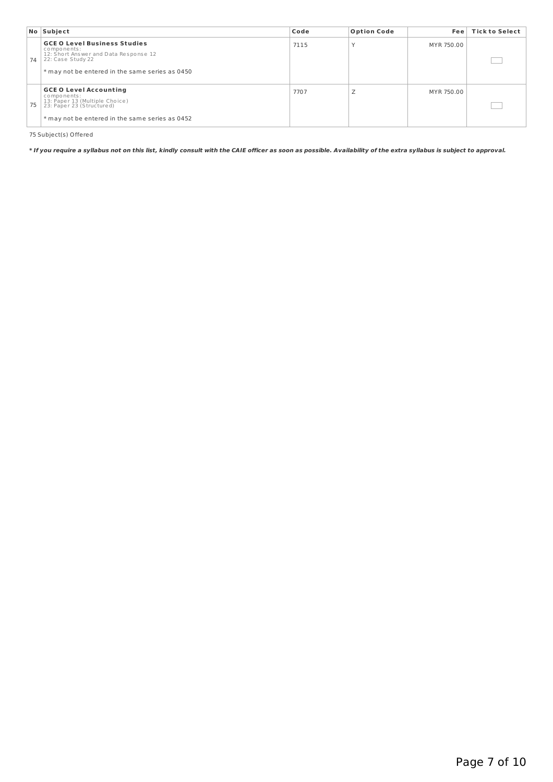|    | No Subject                                                                                                                                                          | Code | <b>Option Code</b> | Fee l      | <b>Tick to Select</b> |
|----|---------------------------------------------------------------------------------------------------------------------------------------------------------------------|------|--------------------|------------|-----------------------|
| 74 | <b>GCE O Level Business Studies</b><br>components:<br>12: Short Answer and Data Response 12<br>22: Case Study 22<br>* may not be entered in the same series as 0450 | 7115 |                    | MYR 750.00 |                       |
| 75 | <b>GCE O Level Accounting</b><br>components:<br>13: Paper 13 (Multiple Choice)<br>23: Paper 23 (Structured)<br>* may not be entered in the same series as 0452      | 7707 | ∸                  | MYR 750.00 |                       |

75 Subject(s) Offered

\* If you require a syllabus not on this list, kindly consult with the CAIE officer as soon as possible. Availability of the extra syllabus is subject to approval.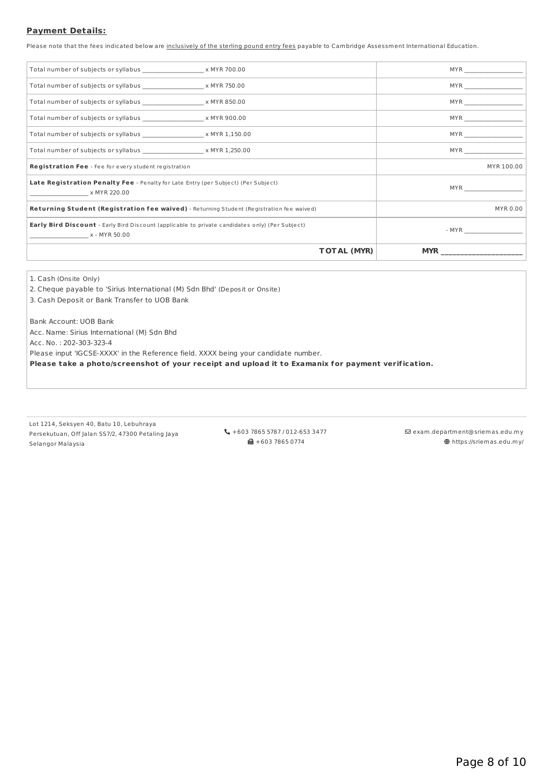# **Payment Details:**

Please note that the fees indicated below are inclusively of the sterling pound entry fees payable to Cambridge Assessment International Education.

| <b>TOTAL (MYR)</b>                                                                                                      | <b>MYR</b>                      |
|-------------------------------------------------------------------------------------------------------------------------|---------------------------------|
| <b>Early Bird Discount</b> - Early Bird Discount (applicable to private candidates only) (Per Subject)<br>x - MYR 50.00 | $-MYR$                          |
| Returning Student (Registration fee waived) - Returning Student (Registration fee waived)                               | MYR 0.00                        |
| Late Registration Penalty Fee - Penalty for Late Entry (per Subject) (Per Subject)<br>x MYR 220.00                      | MYR <b>Exercise State State</b> |
| Registration Fee - Fee for every student registration                                                                   | MYR 100.00                      |
|                                                                                                                         |                                 |
|                                                                                                                         | $MYR$                           |
| Total number of subjects or syllabus the same section of the X MYR 900.00                                               | $MYR$                           |
| Total number of subjects or syllabus the second throw with X MYR 850.00                                                 | $MYR$                           |
| Total number of subjects or syllabus ________________________ x MYR 750.00                                              | $MYR$                           |
| Total number of subjects or syllabus ______________________ x MYR 700.00                                                | $MYR$                           |
|                                                                                                                         |                                 |

1. Cash (Onsite Only)

2. Cheque payable to 'Sirius International (M) Sdn Bhd' (Deposit or Onsite)

3. Cash Deposit or Bank Transfer to UOB Bank

Bank Account: UOB Bank

Acc. Name: Sirius International (M) Sdn Bhd

Acc. No. : 202-303-323-4

Please input 'IGCSE-XXXX' in the Reference field. XXXX being your candidate number.

**Please take a photo/screenshot of your receipt and upload it to Examanix for payment verif ication.**

Lot 1214, Seksyen 40, Batu 10, Lebuhraya Persekutuan, Off Jalan SS7/2, 47300 Petaling Jaya Selangor Malaysia

 +603 7865 5787 / 012-653 3477  $\blacksquare$  +603 7865 0774

 $\boxdot$ exam.department@sriemas.edu.my https://sriemas.edu.my/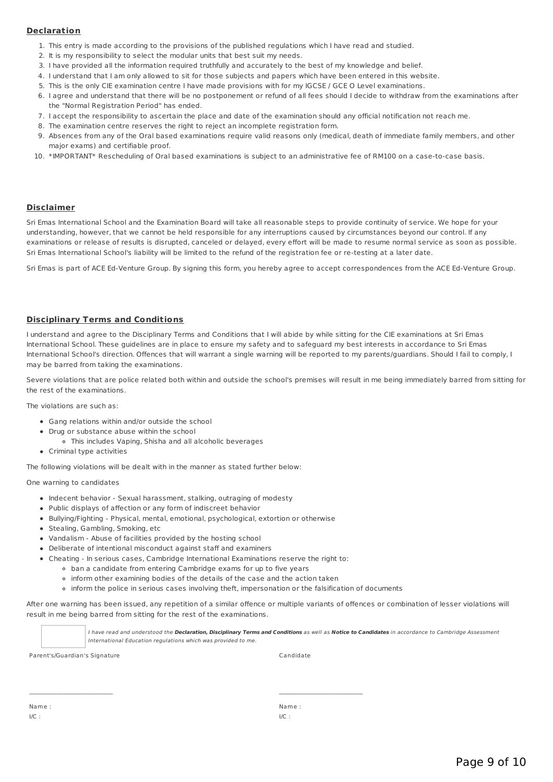### **Declaration**

- 1. This entry is made according to the provisions of the published regulations which I have read and studied.
- 2. It is my responsibility to select the modular units that best suit my needs.
- 3. I have provided all the information required truthfully and accurately to the best of my knowledge and belief.
- 4. I understand that I am only allowed to sit for those subjects and papers which have been entered in this website.
- 5. This is the only CIE examination centre I have made provisions with for my IGCSE / GCE O Level examinations.
- 6. I agree and understand that there will be no postponement or refund of all fees should I decide to withdraw from the examinations after the "Normal Registration Period" has ended.
- 7. I accept the responsibility to ascertain the place and date of the examination should any official notification not reach me.
- 8. The examination centre reserves the right to reject an incomplete registration form.
- 9. Absences from any of the Oral based examinations require valid reasons only (medical, death of immediate family members, and other major exams) and certifiable proof.
- 10. \*IMPORTANT\* Rescheduling of Oral based examinations is subject to an administrative fee of RM100 on a case-to-case basis.

#### **Disclaimer**

Sri Emas International School and the Examination Board will take all reasonable steps to provide continuity of service. We hope for your understanding, however, that we cannot be held responsible for any interruptions caused by circumstances beyond our control. If any examinations or release of results is disrupted, canceled or delayed, every effort will be made to resume normal service as soon as possible. Sri Emas International School's liability will be limited to the refund of the registration fee or re-testing at a later date.

Sri Emas is part of ACE Ed-Venture Group. By signing this form, you hereby agree to accept correspondences from the ACE Ed-Venture Group.

### **Disciplinary Terms and Conditions**

I understand and agree to the Disciplinary Terms and Conditions that I will abide by while sitting for the CIE examinations at Sri Emas International School. These guidelines are in place to ensure my safety and to safeguard my best interests in accordance to Sri Emas International School's direction. Offences that will warrant a single warning will be reported to my parents/guardians. Should I fail to comply, I may be barred from taking the examinations.

Severe violations that are police related both within and outside the school's premises will result in me being immediately barred from sitting for the rest of the examinations.

The violations are such as:

- Gang relations within and/or outside the school
- Drug or substance abuse within the school
	- This includes Vaping, Shisha and all alcoholic beverages
- Criminal type activities

The following violations will be dealt with in the manner as stated further below:

One warning to candidates

- Indecent behavior Sexual harassment, stalking, outraging of modesty
- Public displays of affection or any form of indiscreet behavior
- Bullying/Fighting Physical, mental, emotional, psychological, extortion or otherwise
- Stealing, Gambling, Smoking, etc
- Vandalism Abuse of facilities provided by the hosting school
- Deliberate of intentional misconduct against staff and examiners
- Cheating In serious cases, Cambridge International Examinations reserve the right to:
	- ban a candidate from entering Cambridge exams for up to five years
	- inform other examining bodies of the details of the case and the action taken

 $\mathcal{L}_\text{max}$ 

inform the police in serious cases involving theft, impersonation or the falsification of documents

After one warning has been issued, any repetition of a similar offence or multiple variants of offences or combination of lesser violations will result in me being barred from sitting for the rest of the examinations.

> I have read and understood the **Declaration, Disciplinary Terms and Conditions** as well as **Notice to Candidates** in accordance to Cambridge Assessment International Education regulations which was provided to me.

Parent's/Guardian's Signature Candidate

Name : I/C :

Name : I/C :